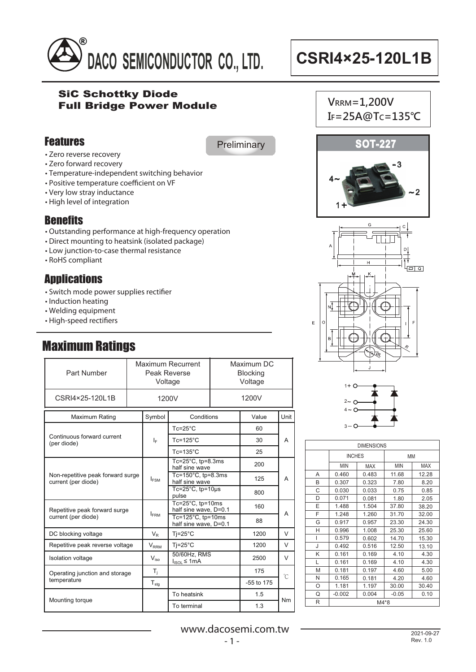

 $V$ <sub>RRM</sub> = 1,200V

### SiC Schottky Diode Full Bridge Power Module

## Features

**Preliminary** 

- Zero reverse recovery
- Zero forward recovery
- Temperature-independent switching behavior
- Positive temperature coefficient on VF
- Very low stray inductance
- High level of integration

## **Benefits**

- Outstanding performance at high-frequency operation
- Direct mounting to heatsink (isolated package)
- Low junction-to-case thermal resistance
- $\cdot$  RoHS compliant

## **Applications**

- Switch mode power supplies rectifier
- Induction heating
- Welding equipment
- High-speed rectifiers

## Maximum Ratings

| Part Number                                              | Maximum Recurrent<br>Peak Reverse<br>Voltage |                  | Maximum DC<br><b>Blocking</b><br>Voltage           |  |              |        |  |
|----------------------------------------------------------|----------------------------------------------|------------------|----------------------------------------------------|--|--------------|--------|--|
| CSRI4×25-120L1B                                          |                                              | 1200V            |                                                    |  | 1200V        |        |  |
| Maximum Rating                                           |                                              | Symbol           | Conditions                                         |  | Value        | Unit   |  |
|                                                          |                                              |                  | $Tc = 25^{\circ}C$                                 |  | 60           |        |  |
| Continuous forward current<br>(per diode)                |                                              | ΙF               | $Tc = 125$ °C                                      |  | 30           | А      |  |
|                                                          |                                              |                  | $Tc = 135^{\circ}C$                                |  | 25           |        |  |
| Non-repetitive peak forward surge<br>current (per diode) |                                              |                  | Tc= $25^{\circ}$ C, tp= $8.3$ ms<br>half sine wave |  | 200          | А      |  |
|                                                          |                                              | $I_{FSM}$        | Tc= $150^{\circ}$ C. tp=8.3ms<br>half sine wave    |  | 125          |        |  |
|                                                          |                                              |                  | Tc= $25^{\circ}$ C, tp= $10\mu s$<br>pulse         |  | 800          |        |  |
| Repetitive peak forward surge<br>current (per diode)     |                                              |                  | Tc=25°C, tp=10ms<br>half sine wave, D=0.1          |  | 160          |        |  |
|                                                          |                                              | $I_{\text{FRM}}$ | Tc=125 $°C$ , tp=10ms<br>half sine wave, D=0.1     |  | 88           | А      |  |
| DC blocking voltage                                      |                                              | $V_{\rm P}$      | $Ti=25^{\circ}C$                                   |  | 1200         | V      |  |
| Repetitive peak reverse voltage                          |                                              | $V_{RRM}$        | $Ti=25^{\circ}C$                                   |  | 1200         | $\vee$ |  |
| Isolation voltage                                        |                                              | $V_{\text{ion}}$ | 50/60Hz, RMS<br>$I_{ISOL} \leq 1mA$                |  | 2500         | $\vee$ |  |
| Operating junction and storage<br>temperature            |                                              | $T_i$            |                                                    |  | 175          | °C     |  |
|                                                          |                                              | $T_{\text{stg}}$ |                                                    |  | $-55$ to 175 |        |  |
| Mounting torque                                          |                                              |                  | To heatsink                                        |  | 1.5          | Nm     |  |
|                                                          |                                              |                  | To terminal                                        |  | 1.3          |        |  |



IF=25A@Tc=135°C





| <b>DIMENSIONS</b> |               |            |         |       |  |
|-------------------|---------------|------------|---------|-------|--|
|                   | <b>INCHES</b> |            | MM      |       |  |
|                   | MIN           | <b>MAX</b> | MIN     | MAX   |  |
| Α                 | 0.460         | 0.483      | 11.68   | 12.28 |  |
| В                 | 0.307         | 0.323      | 7.80    | 8.20  |  |
| C                 | 0.030         | 0.033      | 0.75    | 0.85  |  |
| D                 | 0.071         | 0.081      | 1.80    | 2.05  |  |
| E                 | 1.488         | 1.504      | 37.80   | 38.20 |  |
| F                 | 1.248         | 1.260      | 31.70   | 32.00 |  |
| G                 | 0.917         | 0.957      | 23.30   | 24.30 |  |
| н                 | 0.996         | 1.008      | 25.30   | 25.60 |  |
| ı                 | 0.579         | 0.602      | 14.70   | 15.30 |  |
| J                 | 0.492         | 0.516      | 12.50   | 13.10 |  |
| Κ                 | 0.161         | 0.169      | 4.10    | 4.30  |  |
| L                 | 0.161         | 0.169      | 4.10    | 4.30  |  |
| M                 | 0.181         | 0.197      | 4.60    | 5.00  |  |
| N                 | 0.165         | 0.181      | 4.20    | 4.60  |  |
| O                 | 1.181         | 1.197      | 30.00   | 30.40 |  |
| Q                 | $-0.002$      | 0.004      | $-0.05$ | 0.10  |  |
| R                 | M4*8          |            |         |       |  |

www.dacosemi.com.tw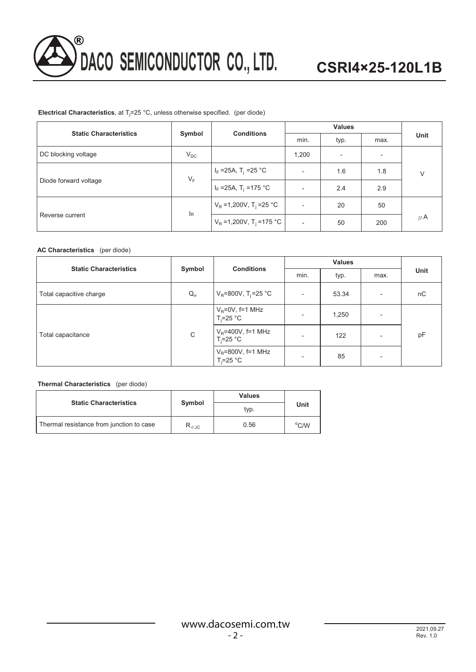

### **Electrical Characteristics**, at Tj =25 °C, unless otherwise specified. (per diode)

| <b>Static Characteristics</b> |            | <b>Conditions</b>                     | <b>Values</b> |      |                          |         |
|-------------------------------|------------|---------------------------------------|---------------|------|--------------------------|---------|
|                               | Symbol     |                                       | min.          | typ. | max.                     | Unit    |
| DC blocking voltage           | $V_{DC}$   |                                       | 1,200         | ٠    | $\overline{\phantom{a}}$ |         |
| Diode forward voltage         | $V_F$      | $I_F = 25A$ , T <sub>j</sub> = 25 °C  | -             | 1.6  | 1.8                      | $\vee$  |
|                               |            | $I_F = 25A$ , T <sub>i</sub> = 175 °C | -             | 2.4  | 2.9                      |         |
|                               |            | $V_R = 1,200V, T_i = 25 °C$           |               | 20   | 50                       |         |
| Reverse current               | <b>I</b> R | $V_R = 1,200V, T_i = 175 °C$          | ۰             | 50   | 200                      | $\mu$ A |

### **AC Characteristics** (per diode)

| <b>Static Characteristics</b> | Symbol   | <b>Conditions</b>                       | <b>Values</b>            |       |                          |      |
|-------------------------------|----------|-----------------------------------------|--------------------------|-------|--------------------------|------|
|                               |          |                                         | min.                     | typ.  | max.                     | Unit |
| Total capacitive charge       | $Q_{rr}$ | $V_R = 800V$ , T <sub>i</sub> =25 °C    | $\overline{\phantom{0}}$ | 53.34 | ٠                        | nC   |
| Total capacitance             |          | $V_R = 0V$ , f=1 MHz<br>$T_i = 25$ °C   | $\overline{\phantom{a}}$ | 1,250 | $\overline{\phantom{0}}$ | pF   |
|                               | C        | $V_R$ =400V, f=1 MHz<br>$T_i = 25$ °C   |                          | 122   | ٠                        |      |
|                               |          | $V_R = 800V$ , f=1 MHz<br>$T_i = 25$ °C | $\overline{\phantom{a}}$ | 85    | $\overline{\phantom{a}}$ |      |

### **Thermal Characteristics** (per diode)

|                                          |                                 | Values | Unit           |  |
|------------------------------------------|---------------------------------|--------|----------------|--|
| <b>Static Characteristics</b>            | Symbol                          | typ.   |                |  |
| Thermal resistance from junction to case | $\mathsf{R}_{\theta\text{-JC}}$ | 0.56   | $\rm ^{o}$ C/W |  |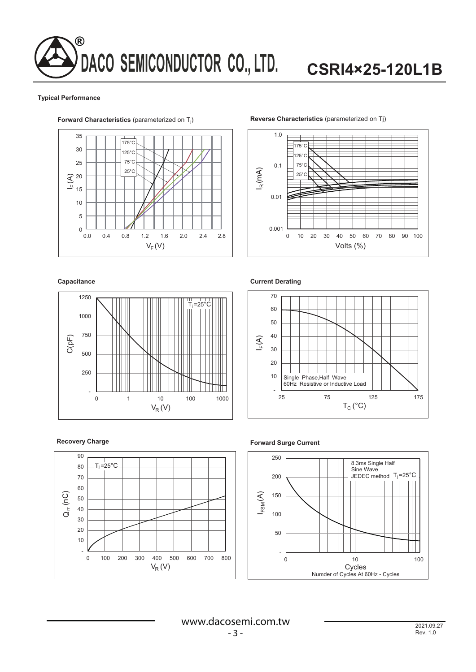# **DACO SEMICONDUCTOR CO., LTD.** ®

# **CSRI4×25-120L1B**

#### **Typical Performance**



## ) **Reverse Characteristics** (parameterized on Tj)



#### **Capacitance**



**Current Derating**





### **Forward Surge Current**